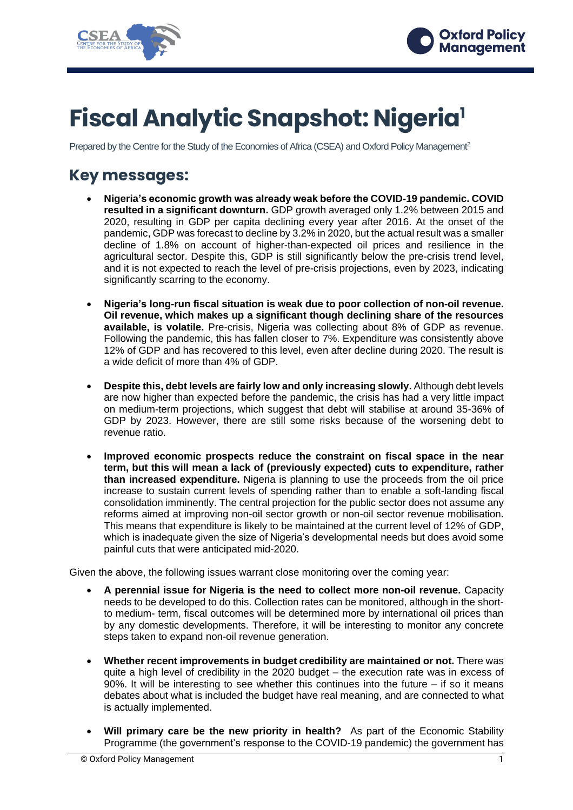



# **Fiscal Analytic Snapshot: Nigeria<sup>1</sup>**

Prepared by the Centre for the Study of the Economies of Africa (CSEA) and Oxford Policy Management<sup>2</sup>

# **Key messages:**

- **Nigeria's economic growth was already weak before the COVID-19 pandemic. COVID resulted in a significant downturn.** GDP growth averaged only 1.2% between 2015 and 2020, resulting in GDP per capita declining every year after 2016. At the onset of the pandemic, GDP was forecast to decline by 3.2% in 2020, but the actual result was a smaller decline of 1.8% on account of higher-than-expected oil prices and resilience in the agricultural sector. Despite this, GDP is still significantly below the pre-crisis trend level, and it is not expected to reach the level of pre-crisis projections, even by 2023, indicating significantly scarring to the economy.
- **Nigeria's long-run fiscal situation is weak due to poor collection of non-oil revenue. Oil revenue, which makes up a significant though declining share of the resources available, is volatile.** Pre-crisis, Nigeria was collecting about 8% of GDP as revenue. Following the pandemic, this has fallen closer to 7%. Expenditure was consistently above 12% of GDP and has recovered to this level, even after decline during 2020. The result is a wide deficit of more than 4% of GDP.
- **Despite this, debt levels are fairly low and only increasing slowly.** Although debt levels are now higher than expected before the pandemic, the crisis has had a very little impact on medium-term projections, which suggest that debt will stabilise at around 35-36% of GDP by 2023. However, there are still some risks because of the worsening debt to revenue ratio.
- **Improved economic prospects reduce the constraint on fiscal space in the near term, but this will mean a lack of (previously expected) cuts to expenditure, rather than increased expenditure.** Nigeria is planning to use the proceeds from the oil price increase to sustain current levels of spending rather than to enable a soft-landing fiscal consolidation imminently. The central projection for the public sector does not assume any reforms aimed at improving non-oil sector growth or non-oil sector revenue mobilisation. This means that expenditure is likely to be maintained at the current level of 12% of GDP, which is inadequate given the size of Nigeria's developmental needs but does avoid some painful cuts that were anticipated mid-2020.

Given the above, the following issues warrant close monitoring over the coming year:

- **A perennial issue for Nigeria is the need to collect more non-oil revenue.** Capacity needs to be developed to do this. Collection rates can be monitored, although in the shortto medium- term, fiscal outcomes will be determined more by international oil prices than by any domestic developments. Therefore, it will be interesting to monitor any concrete steps taken to expand non-oil revenue generation.
- **Whether recent improvements in budget credibility are maintained or not.** There was quite a high level of credibility in the 2020 budget – the execution rate was in excess of 90%. It will be interesting to see whether this continues into the future – if so it means debates about what is included the budget have real meaning, and are connected to what is actually implemented.
- **Will primary care be the new priority in health?** As part of the Economic Stability Programme (the government's response to the COVID-19 pandemic) the government has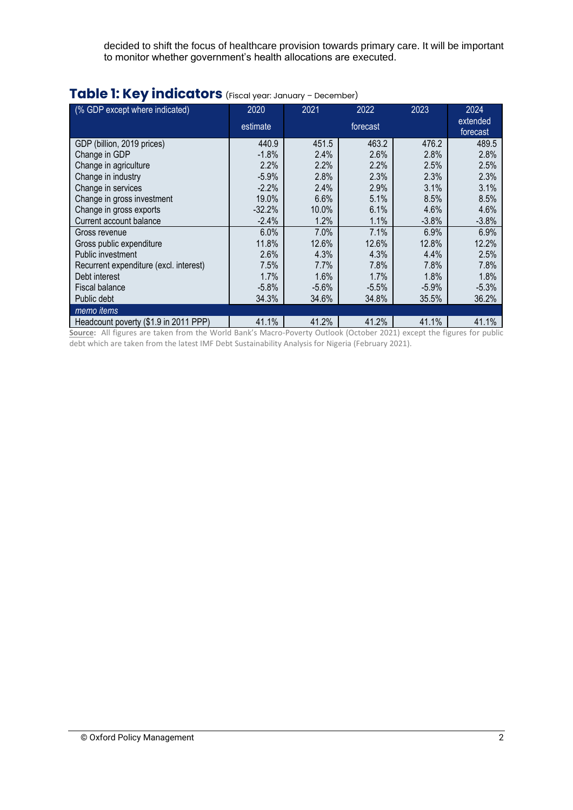decided to shift the focus of healthcare provision towards primary care. It will be important to monitor whether government's health allocations are executed.

| (% GDP except where indicated)         | 2020                 | 2021    | 2022                 | 2023    | 2024    |
|----------------------------------------|----------------------|---------|----------------------|---------|---------|
|                                        | estimate<br>forecast |         | extended<br>forecast |         |         |
| GDP (billion, 2019 prices)             | 440.9                | 451.5   | 463.2                | 476.2   | 489.5   |
| Change in GDP                          | $-1.8%$              | 2.4%    | 2.6%                 | 2.8%    | 2.8%    |
| Change in agriculture                  | 2.2%                 | 2.2%    | 2.2%                 | 2.5%    | 2.5%    |
| Change in industry                     | $-5.9%$              | 2.8%    | 2.3%                 | 2.3%    | 2.3%    |
| Change in services                     | $-2.2%$              | 2.4%    | 2.9%                 | 3.1%    | 3.1%    |
| Change in gross investment             | 19.0%                | 6.6%    | 5.1%                 | 8.5%    | 8.5%    |
| Change in gross exports                | $-32.2%$             | 10.0%   | 6.1%                 | 4.6%    | 4.6%    |
| Current account balance                | $-2.4%$              | 1.2%    | 1.1%                 | $-3.8%$ | $-3.8%$ |
| Gross revenue                          | 6.0%                 | 7.0%    | 7.1%                 | 6.9%    | 6.9%    |
| Gross public expenditure               | 11.8%                | 12.6%   | 12.6%                | 12.8%   | 12.2%   |
| Public investment                      | 2.6%                 | 4.3%    | 4.3%                 | 4.4%    | 2.5%    |
| Recurrent expenditure (excl. interest) | 7.5%                 | 7.7%    | 7.8%                 | 7.8%    | 7.8%    |
| Debt interest                          | 1.7%                 | 1.6%    | 1.7%                 | 1.8%    | 1.8%    |
| <b>Fiscal balance</b>                  | $-5.8%$              | $-5.6%$ | $-5.5%$              | $-5.9%$ | $-5.3%$ |
| Public debt                            | 34.3%                | 34.6%   | 34.8%                | 35.5%   | 36.2%   |
| memo items                             |                      |         |                      |         |         |
| Headcount poverty (\$1.9 in 2011 PPP)  | 41.1%                | 41.2%   | 41.2%                | 41.1%   | 41.1%   |

# **Table 1: Key indicators** (Fiscal year: January – December)

**Source:** All figures are taken from the World Bank's Macro-Poverty Outlook (October 2021) except the figures for public debt which are taken from the latest IMF Debt Sustainability Analysis for Nigeria (February 2021).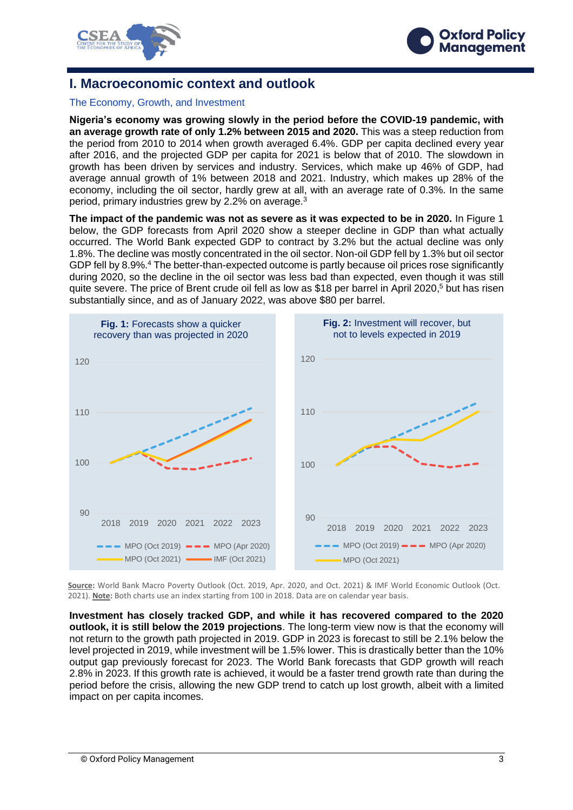



## **I. Macroeconomic context and outlook**

#### The Economy, Growth, and Investment

**Nigeria's economy was growing slowly in the period before the COVID-19 pandemic, with an average growth rate of only 1.2% between 2015 and 2020.** This was a steep reduction from the period from 2010 to 2014 when growth averaged 6.4%. GDP per capita declined every year after 2016, and the projected GDP per capita for 2021 is below that of 2010. The slowdown in growth has been driven by services and industry. Services, which make up 46% of GDP, had average annual growth of 1% between 2018 and 2021. Industry, which makes up 28% of the economy, including the oil sector, hardly grew at all, with an average rate of 0.3%. In the same period, primary industries grew by 2.2% on average.<sup>3</sup>

**The impact of the pandemic was not as severe as it was expected to be in 2020.** In Figure 1 below, the GDP forecasts from April 2020 show a steeper decline in GDP than what actually occurred. The World Bank expected GDP to contract by 3.2% but the actual decline was only 1.8%. The decline was mostly concentrated in the oil sector. Non-oil GDP fell by 1.3% but oil sector GDP fell by 8.9%.<sup>4</sup> The better-than-expected outcome is partly because oil prices rose significantly during 2020, so the decline in the oil sector was less bad than expected, even though it was still quite severe. The price of Brent crude oil fell as low as \$18 per barrel in April 2020, <sup>5</sup> but has risen substantially since, and as of January 2022, was above \$80 per barrel.



**Source:** World Bank Macro Poverty Outlook (Oct. 2019, Apr. 2020, and Oct. 2021) & IMF World Economic Outlook (Oct. 2021). **Note:** Both charts use an index starting from 100 in 2018. Data are on calendar year basis.

**Investment has closely tracked GDP, and while it has recovered compared to the 2020 outlook, it is still below the 2019 projections**. The long-term view now is that the economy will not return to the growth path projected in 2019. GDP in 2023 is forecast to still be 2.1% below the level projected in 2019, while investment will be 1.5% lower. This is drastically better than the 10% output gap previously forecast for 2023. The World Bank forecasts that GDP growth will reach 2.8% in 2023. If this growth rate is achieved, it would be a faster trend growth rate than during the period before the crisis, allowing the new GDP trend to catch up lost growth, albeit with a limited impact on per capita incomes.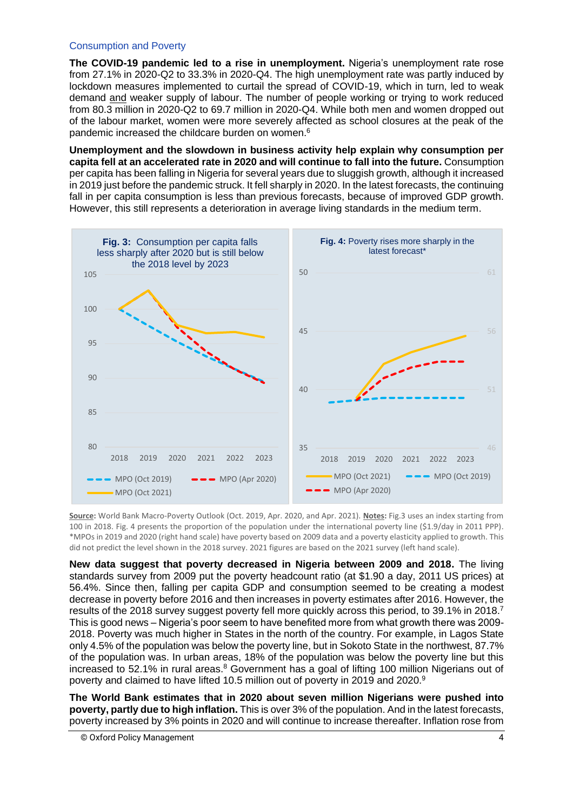#### Consumption and Poverty

**The COVID-19 pandemic led to a rise in unemployment.** Nigeria's unemployment rate rose from 27.1% in 2020-Q2 to 33.3% in 2020-Q4. The high unemployment rate was partly induced by lockdown measures implemented to curtail the spread of COVID-19, which in turn, led to weak demand and weaker supply of labour. The number of people working or trying to work reduced from 80.3 million in 2020-Q2 to 69.7 million in 2020-Q4. While both men and women dropped out of the labour market, women were more severely affected as school closures at the peak of the pandemic increased the childcare burden on women.<sup>6</sup>

**Unemployment and the slowdown in business activity help explain why consumption per capita fell at an accelerated rate in 2020 and will continue to fall into the future.** Consumption per capita has been falling in Nigeria for several years due to sluggish growth, although it increased in 2019 just before the pandemic struck. It fell sharply in 2020. In the latest forecasts, the continuing fall in per capita consumption is less than previous forecasts, because of improved GDP growth. However, this still represents a deterioration in average living standards in the medium term.



**Source:** World Bank Macro-Poverty Outlook (Oct. 2019, Apr. 2020, and Apr. 2021). **Notes:** Fig.3 uses an index starting from 100 in 2018. Fig. 4 presents the proportion of the population under the international poverty line (\$1.9/day in 2011 PPP). \*MPOs in 2019 and 2020 (right hand scale) have poverty based on 2009 data and a poverty elasticity applied to growth. This did not predict the level shown in the 2018 survey. 2021 figures are based on the 2021 survey (left hand scale).

**New data suggest that poverty decreased in Nigeria between 2009 and 2018.** The living standards survey from 2009 put the poverty headcount ratio (at \$1.90 a day, 2011 US prices) at 56.4%. Since then, falling per capita GDP and consumption seemed to be creating a modest decrease in poverty before 2016 and then increases in poverty estimates after 2016. However, the results of the 2018 survey suggest poverty fell more quickly across this period, to 39.1% in 2018.<sup>7</sup> This is good news – Nigeria's poor seem to have benefited more from what growth there was 2009- 2018. Poverty was much higher in States in the north of the country. For example, in Lagos State only 4.5% of the population was below the poverty line, but in Sokoto State in the northwest, 87.7% of the population was. In urban areas, 18% of the population was below the poverty line but this increased to 52.1% in rural areas.<sup>8</sup> Government has a goal of lifting 100 million Nigerians out of poverty and claimed to have lifted 10.5 million out of poverty in 2019 and 2020.<sup>9</sup>

**The World Bank estimates that in 2020 about seven million Nigerians were pushed into poverty, partly due to high inflation.** This is over 3% of the population. And in the latest forecasts, poverty increased by 3% points in 2020 and will continue to increase thereafter. Inflation rose from

<sup>©</sup> Oxford Policy Management 4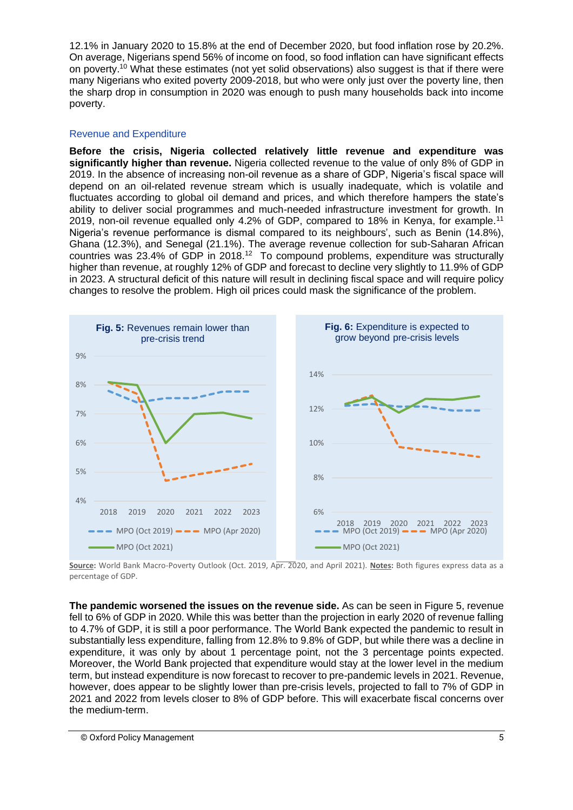12.1% in January 2020 to 15.8% at the end of December 2020, but food inflation rose by 20.2%. On average, Nigerians spend 56% of income on food, so food inflation can have significant effects on poverty.<sup>10</sup> What these estimates (not yet solid observations) also suggest is that if there were many Nigerians who exited poverty 2009-2018, but who were only just over the poverty line, then the sharp drop in consumption in 2020 was enough to push many households back into income poverty.

#### Revenue and Expenditure

**Before the crisis, Nigeria collected relatively little revenue and expenditure was significantly higher than revenue.** Nigeria collected revenue to the value of only 8% of GDP in 2019. In the absence of increasing non-oil revenue as a share of GDP, Nigeria's fiscal space will depend on an oil-related revenue stream which is usually inadequate, which is volatile and fluctuates according to global oil demand and prices, and which therefore hampers the state's ability to deliver social programmes and much-needed infrastructure investment for growth. In 2019, non-oil revenue equalled only 4.2% of GDP, compared to 18% in Kenya, for example.<sup>11</sup> Nigeria's revenue performance is dismal compared to its neighbours', such as Benin (14.8%), Ghana (12.3%), and Senegal (21.1%). The average revenue collection for sub-Saharan African countries was 23.4% of GDP in 2018.<sup>12</sup> To compound problems, expenditure was structurally higher than revenue, at roughly 12% of GDP and forecast to decline very slightly to 11.9% of GDP in 2023. A structural deficit of this nature will result in declining fiscal space and will require policy changes to resolve the problem. High oil prices could mask the significance of the problem.



**Source:** World Bank Macro-Poverty Outlook (Oct. 2019, Apr. 2020, and April 2021). **Notes:** Both figures express data as a percentage of GDP.

**The pandemic worsened the issues on the revenue side.** As can be seen in Figure 5, revenue fell to 6% of GDP in 2020. While this was better than the projection in early 2020 of revenue falling to 4.7% of GDP, it is still a poor performance. The World Bank expected the pandemic to result in substantially less expenditure, falling from 12.8% to 9.8% of GDP, but while there was a decline in expenditure, it was only by about 1 percentage point, not the 3 percentage points expected. Moreover, the World Bank projected that expenditure would stay at the lower level in the medium term, but instead expenditure is now forecast to recover to pre-pandemic levels in 2021. Revenue, however, does appear to be slightly lower than pre-crisis levels, projected to fall to 7% of GDP in 2021 and 2022 from levels closer to 8% of GDP before. This will exacerbate fiscal concerns over the medium-term.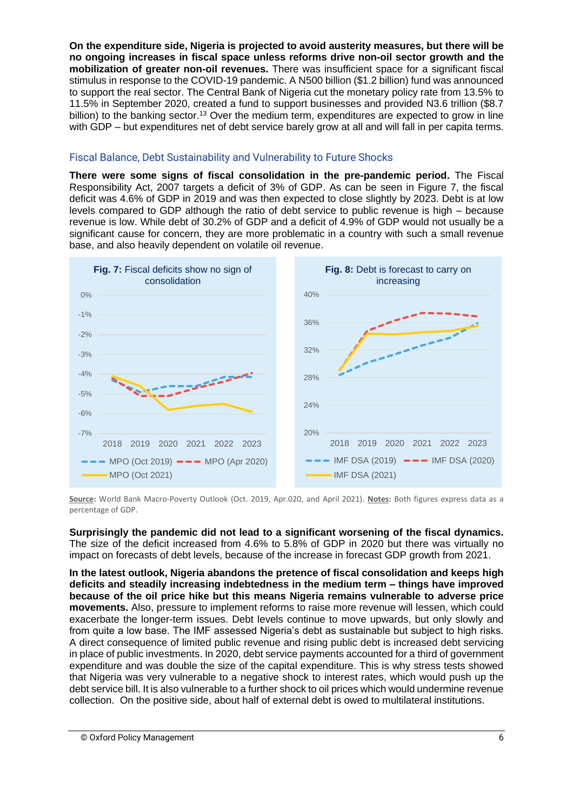**On the expenditure side, Nigeria is projected to avoid austerity measures, but there will be no ongoing increases in fiscal space unless reforms drive non-oil sector growth and the mobilization of greater non-oil revenues.** There was insufficient space for a significant fiscal stimulus in response to the COVID-19 pandemic. A N500 billion (\$1.2 billion) fund was announced to support the real sector. The Central Bank of Nigeria cut the monetary policy rate from 13.5% to 11.5% in September 2020, created a fund to support businesses and provided N3.6 trillion (\$8.7 billion) to the banking sector.<sup>13</sup> Over the medium term, expenditures are expected to grow in line with GDP – but expenditures net of debt service barely grow at all and will fall in per capita terms.

#### Fiscal Balance, Debt Sustainability and Vulnerability to Future Shocks

**There were some signs of fiscal consolidation in the pre-pandemic period.** The Fiscal Responsibility Act, 2007 targets a deficit of 3% of GDP. As can be seen in Figure 7, the fiscal deficit was 4.6% of GDP in 2019 and was then expected to close slightly by 2023. Debt is at low levels compared to GDP although the ratio of debt service to public revenue is high – because revenue is low. While debt of 30.2% of GDP and a deficit of 4.9% of GDP would not usually be a significant cause for concern, they are more problematic in a country with such a small revenue base, and also heavily dependent on volatile oil revenue.



**Source:** World Bank Macro-Poverty Outlook (Oct. 2019, Apr.020, and April 2021). **Notes:** Both figures express data as a percentage of GDP.

**Surprisingly the pandemic did not lead to a significant worsening of the fiscal dynamics.** The size of the deficit increased from 4.6% to 5.8% of GDP in 2020 but there was virtually no impact on forecasts of debt levels, because of the increase in forecast GDP growth from 2021.

**In the latest outlook, Nigeria abandons the pretence of fiscal consolidation and keeps high deficits and steadily increasing indebtedness in the medium term – things have improved because of the oil price hike but this means Nigeria remains vulnerable to adverse price movements.** Also, pressure to implement reforms to raise more revenue will lessen, which could exacerbate the longer-term issues. Debt levels continue to move upwards, but only slowly and from quite a low base. The IMF assessed Nigeria's debt as sustainable but subject to high risks. A direct consequence of limited public revenue and rising public debt is increased debt servicing in place of public investments. In 2020, debt service payments accounted for a third of government expenditure and was double the size of the capital expenditure. This is why stress tests showed that Nigeria was very vulnerable to a negative shock to interest rates, which would push up the debt service bill. It is also vulnerable to a further shock to oil prices which would undermine revenue collection. On the positive side, about half of external debt is owed to multilateral institutions.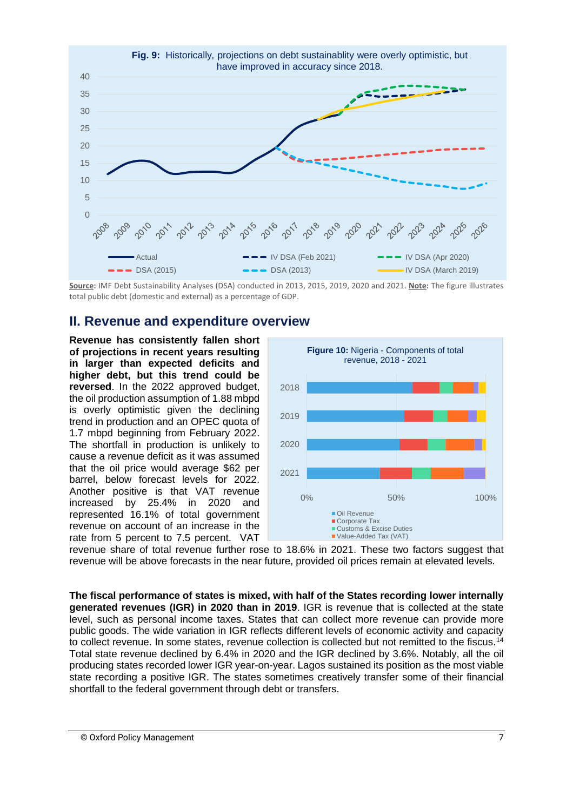

**Source:** IMF Debt Sustainability Analyses (DSA) conducted in 2013, 2015, 2019, 2020 and 2021. **Note:** The figure illustrates total public debt (domestic and external) as a percentage of GDP.

### **II. Revenue and expenditure overview**

**Revenue has consistently fallen short of projections in recent years resulting in larger than expected deficits and higher debt, but this trend could be reversed**. In the 2022 approved budget, the oil production assumption of 1.88 mbpd is overly optimistic given the declining trend in production and an OPEC quota of 1.7 mbpd beginning from February 2022. The shortfall in production is unlikely to cause a revenue deficit as it was assumed that the oil price would average \$62 per barrel, below forecast levels for 2022. Another positive is that VAT revenue increased by 25.4% in 2020 and represented 16.1% of total government revenue on account of an increase in the rate from 5 percent to 7.5 percent. VAT



revenue share of total revenue further rose to 18.6% in 2021. These two factors suggest that revenue will be above forecasts in the near future, provided oil prices remain at elevated levels.

**The fiscal performance of states is mixed, with half of the States recording lower internally generated revenues (IGR) in 2020 than in 2019**. IGR is revenue that is collected at the state level, such as personal income taxes. States that can collect more revenue can provide more public goods. The wide variation in IGR reflects different levels of economic activity and capacity to collect revenue. In some states, revenue collection is collected but not remitted to the fiscus.<sup>14</sup> Total state revenue declined by 6.4% in 2020 and the IGR declined by 3.6%. Notably, all the oil producing states recorded lower IGR year-on-year. Lagos sustained its position as the most viable state recording a positive IGR. The states sometimes creatively transfer some of their financial shortfall to the federal government through debt or transfers.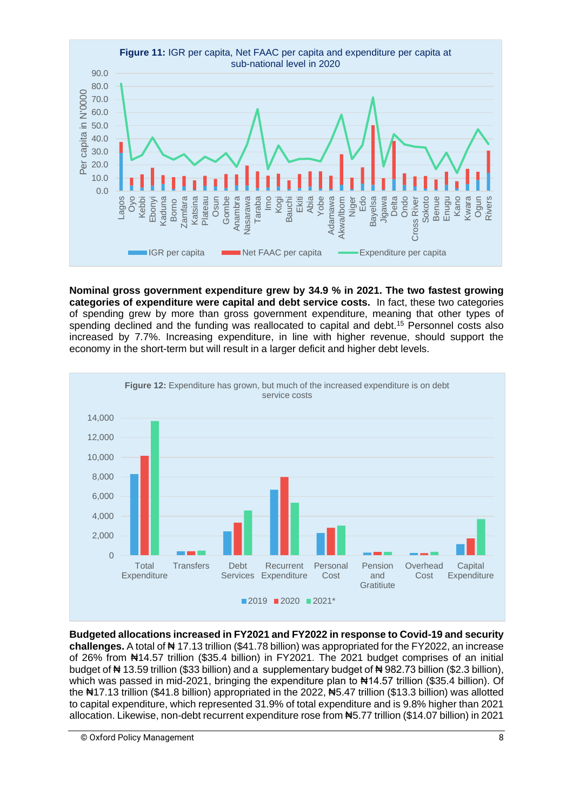

**Nominal gross government expenditure grew by 34.9 % in 2021. The two fastest growing categories of expenditure were capital and debt service costs.** In fact, these two categories of spending grew by more than gross government expenditure, meaning that other types of spending declined and the funding was reallocated to capital and debt.<sup>15</sup> Personnel costs also increased by 7.7%. Increasing expenditure, in line with higher revenue, should support the economy in the short-term but will result in a larger deficit and higher debt levels.



**Budgeted allocations increased in FY2021 and FY2022 in response to Covid-19 and security challenges.** A total of ₦ 17.13 trillion (\$41.78 billion) was appropriated for the FY2022, an increase of 26% from ₦14.57 trillion (\$35.4 billion) in FY2021. The 2021 budget comprises of an initial budget of ₦ 13.59 trillion (\$33 billion) and a supplementary budget of ₦ 982.73 billion (\$2.3 billion), which was passed in mid-2021, bringing the expenditure plan to #14.57 trillion (\$35.4 billion). Of the N17.13 trillion (\$41.8 billion) appropriated in the 2022, N5.47 trillion (\$13.3 billion) was allotted to capital expenditure, which represented 31.9% of total expenditure and is 9.8% higher than 2021 allocation. Likewise, non-debt recurrent expenditure rose from ₦5.77 trillion (\$14.07 billion) in 2021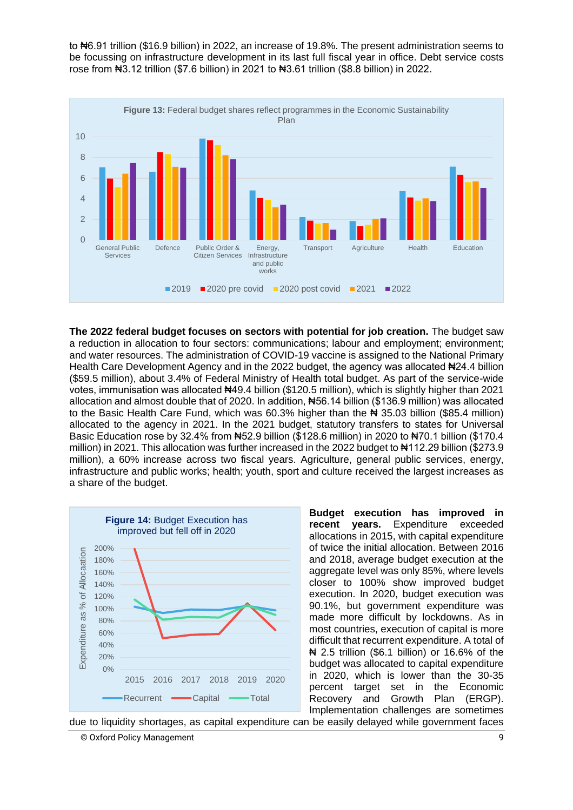to ₦6.91 trillion (\$16.9 billion) in 2022, an increase of 19.8%. The present administration seems to be focussing on infrastructure development in its last full fiscal year in office. Debt service costs rose from ₦3.12 trillion (\$7.6 billion) in 2021 to ₦3.61 trillion (\$8.8 billion) in 2022.



**The 2022 federal budget focuses on sectors with potential for job creation.** The budget saw a reduction in allocation to four sectors: communications; labour and employment; environment; and water resources. The administration of COVID-19 vaccine is assigned to the National Primary Health Care Development Agency and in the 2022 budget, the agency was allocated #24.4 billion (\$59.5 million), about 3.4% of Federal Ministry of Health total budget. As part of the service-wide votes, immunisation was allocated #49.4 billion (\$120.5 million), which is slightly higher than 2021 allocation and almost double that of 2020. In addition, ₦56.14 billion (\$136.9 million) was allocated to the Basic Health Care Fund, which was  $60.3\%$  higher than the  $\blacktriangleright$  35.03 billion (\$85.4 million) allocated to the agency in 2021. In the 2021 budget, statutory transfers to states for Universal Basic Education rose by 32.4% from #52.9 billion (\$128.6 million) in 2020 to #70.1 billion (\$170.4 million) in 2021. This allocation was further increased in the 2022 budget to  $\text{Al}12.29$  billion (\$273.9 million), a 60% increase across two fiscal years. Agriculture, general public services, energy, infrastructure and public works; health; youth, sport and culture received the largest increases as a share of the budget.



**Budget execution has improved in recent years.** Expenditure exceeded allocations in 2015, with capital expenditure of twice the initial allocation. Between 2016 and 2018, average budget execution at the aggregate level was only 85%, where levels closer to 100% show improved budget execution. In 2020, budget execution was 90.1%, but government expenditure was made more difficult by lockdowns. As in most countries, execution of capital is more difficult that recurrent expenditure. A total of ₦ 2.5 trillion (\$6.1 billion) or 16.6% of the budget was allocated to capital expenditure in 2020, which is lower than the 30-35 percent target set in the Economic Recovery and Growth Plan (ERGP). Implementation challenges are sometimes

due to liquidity shortages, as capital expenditure can be easily delayed while government faces

<sup>©</sup> Oxford Policy Management 9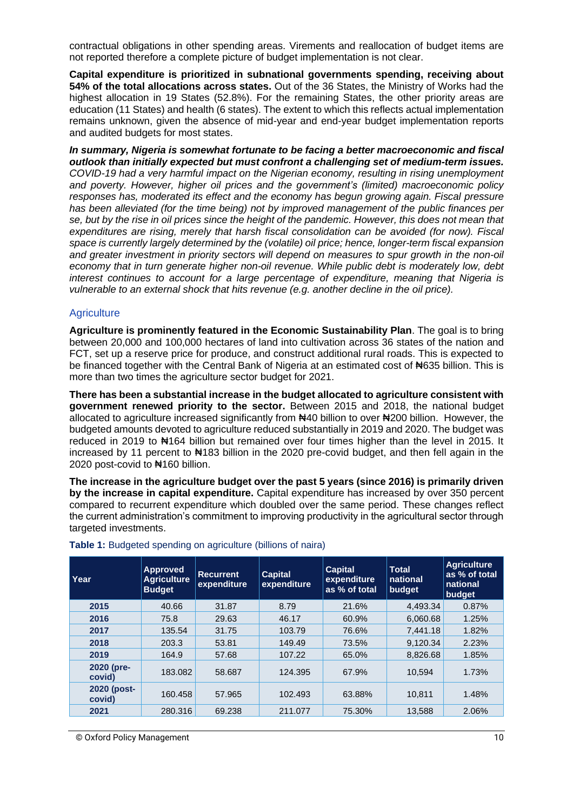contractual obligations in other spending areas. Virements and reallocation of budget items are not reported therefore a complete picture of budget implementation is not clear.

**Capital expenditure is prioritized in subnational governments spending, receiving about 54% of the total allocations across states.** Out of the 36 States, the Ministry of Works had the highest allocation in 19 States (52.8%). For the remaining States, the other priority areas are education (11 States) and health (6 states). The extent to which this reflects actual implementation remains unknown, given the absence of mid-year and end-year budget implementation reports and audited budgets for most states.

*In summary, Nigeria is somewhat fortunate to be facing a better macroeconomic and fiscal outlook than initially expected but must confront a challenging set of medium-term issues. COVID-19 had a very harmful impact on the Nigerian economy, resulting in rising unemployment and poverty. However, higher oil prices and the government's (limited) macroeconomic policy responses has, moderated its effect and the economy has begun growing again. Fiscal pressure has been alleviated (for the time being) not by improved management of the public finances per se, but by the rise in oil prices since the height of the pandemic. However, this does not mean that expenditures are rising, merely that harsh fiscal consolidation can be avoided (for now). Fiscal space is currently largely determined by the (volatile) oil price; hence, longer-term fiscal expansion and greater investment in priority sectors will depend on measures to spur growth in the non-oil economy that in turn generate higher non-oil revenue. While public debt is moderately low, debt interest continues to account for a large percentage of expenditure, meaning that Nigeria is vulnerable to an external shock that hits revenue (e.g. another decline in the oil price).* 

#### **Agriculture**

**Agriculture is prominently featured in the Economic Sustainability Plan**. The goal is to bring between 20,000 and 100,000 hectares of land into cultivation across 36 states of the nation and FCT, set up a reserve price for produce, and construct additional rural roads. This is expected to be financed together with the Central Bank of Nigeria at an estimated cost of N635 billion. This is more than two times the agriculture sector budget for 2021.

**There has been a substantial increase in the budget allocated to agriculture consistent with government renewed priority to the sector.** Between 2015 and 2018, the national budget allocated to agriculture increased significantly from ₦40 billion to over ₦200 billion. However, the budgeted amounts devoted to agriculture reduced substantially in 2019 and 2020. The budget was reduced in 2019 to ₦164 billion but remained over four times higher than the level in 2015. It increased by 11 percent to N4183 billion in the 2020 pre-covid budget, and then fell again in the 2020 post-covid to ₦160 billion.

**The increase in the agriculture budget over the past 5 years (since 2016) is primarily driven by the increase in capital expenditure.** Capital expenditure has increased by over 350 percent compared to recurrent expenditure which doubled over the same period. These changes reflect the current administration's commitment to improving productivity in the agricultural sector through targeted investments.

| Year                  | <b>Approved</b><br><b>Agriculture</b><br><b>Budget</b> | <b>Recurrent</b><br>expenditure | <b>Capital</b><br>expenditure | <b>Capital</b><br>expenditure<br>as % of total | <b>Total</b><br>national<br>budget | <b>Agriculture</b><br>as % of total<br>national<br>budget |
|-----------------------|--------------------------------------------------------|---------------------------------|-------------------------------|------------------------------------------------|------------------------------------|-----------------------------------------------------------|
| 2015                  | 40.66                                                  | 31.87                           | 8.79                          | 21.6%                                          | 4.493.34                           | 0.87%                                                     |
| 2016                  | 75.8                                                   | 29.63                           | 46.17                         | 60.9%                                          | 6,060.68                           | 1.25%                                                     |
| 2017                  | 135.54                                                 | 31.75                           | 103.79                        | 76.6%                                          | 7.441.18                           | 1.82%                                                     |
| 2018                  | 203.3                                                  | 53.81                           | 149.49                        | 73.5%                                          | 9.120.34                           | 2.23%                                                     |
| 2019                  | 164.9                                                  | 57.68                           | 107.22                        | 65.0%                                          | 8.826.68                           | 1.85%                                                     |
| 2020 (pre-<br>covid)  | 183.082                                                | 58.687                          | 124.395                       | 67.9%                                          | 10.594                             | 1.73%                                                     |
| 2020 (post-<br>covid) | 160.458                                                | 57.965                          | 102.493                       | 63.88%                                         | 10,811                             | 1.48%                                                     |
| 2021                  | 280.316                                                | 69.238                          | 211.077                       | 75.30%                                         | 13.588                             | 2.06%                                                     |

#### **Table 1:** Budgeted spending on agriculture (billions of naira)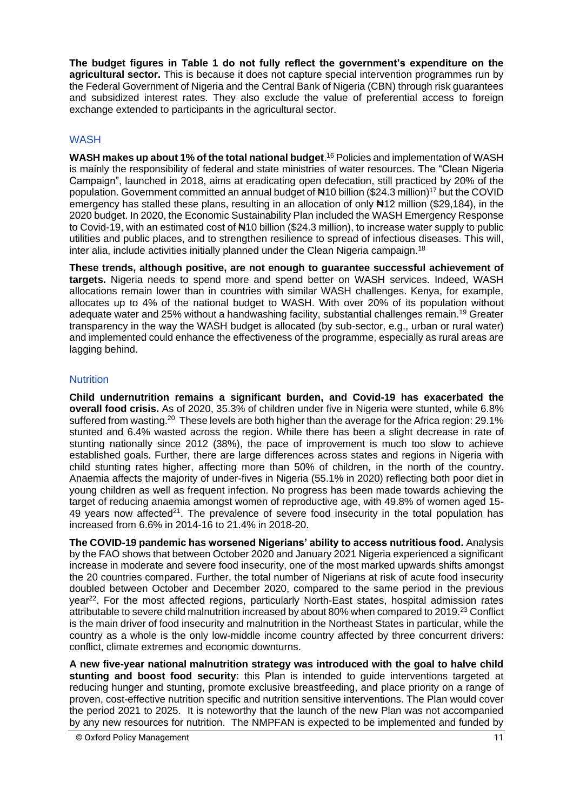**The budget figures in Table 1 do not fully reflect the government's expenditure on the agricultural sector.** This is because it does not capture special intervention programmes run by the Federal Government of Nigeria and the Central Bank of Nigeria (CBN) through risk guarantees and subsidized interest rates. They also exclude the value of preferential access to foreign exchange extended to participants in the agricultural sector.

#### **WASH**

**WASH makes up about 1% of the total national budget**. <sup>16</sup> Policies and implementation of WASH is mainly the responsibility of federal and state ministries of water resources. The "Clean Nigeria Campaign", launched in 2018, aims at eradicating open defecation, still practiced by 20% of the population. Government committed an annual budget of  $\text{H10}$  billion (\$24.3 million)<sup>17</sup> but the COVID emergency has stalled these plans, resulting in an allocation of only #12 million (\$29,184), in the 2020 budget. In 2020, the Economic Sustainability Plan included the WASH Emergency Response to Covid-19, with an estimated cost of  $\#10$  billion (\$24.3 million), to increase water supply to public utilities and public places, and to strengthen resilience to spread of infectious diseases. This will, inter alia, include activities initially planned under the Clean Nigeria campaign.<sup>18</sup>

**These trends, although positive, are not enough to guarantee successful achievement of targets.** Nigeria needs to spend more and spend better on WASH services. Indeed, WASH allocations remain lower than in countries with similar WASH challenges. Kenya, for example, allocates up to 4% of the national budget to WASH. With over 20% of its population without adequate water and 25% without a handwashing facility, substantial challenges remain.<sup>19</sup> Greater transparency in the way the WASH budget is allocated (by sub-sector, e.g., urban or rural water) and implemented could enhance the effectiveness of the programme, especially as rural areas are lagging behind.

#### **Nutrition**

**Child undernutrition remains a significant burden, and Covid-19 has exacerbated the overall food crisis.** As of 2020, 35.3% of children under five in Nigeria were stunted, while 6.8% suffered from wasting.<sup>20</sup> These levels are both higher than the average for the Africa region: 29.1% stunted and 6.4% wasted across the region. While there has been a slight decrease in rate of stunting nationally since 2012 (38%), the pace of improvement is much too slow to achieve established goals. Further, there are large differences across states and regions in Nigeria with child stunting rates higher, affecting more than 50% of children, in the north of the country. Anaemia affects the majority of under-fives in Nigeria (55.1% in 2020) reflecting both poor diet in young children as well as frequent infection. No progress has been made towards achieving the target of reducing anaemia amongst women of reproductive age, with 49.8% of women aged 15- 49 years now affected<sup>21</sup>. The prevalence of severe food insecurity in the total population has increased from 6.6% in 2014-16 to 21.4% in 2018-20.

**The COVID-19 pandemic has worsened Nigerians' ability to access nutritious food.** Analysis by the FAO shows that between October 2020 and January 2021 Nigeria experienced a significant increase in moderate and severe food insecurity, one of the most marked upwards shifts amongst the 20 countries compared. Further, the total number of Nigerians at risk of acute food insecurity doubled between October and December 2020, compared to the same period in the previous year<sup>22</sup>. For the most affected regions, particularly North-East states, hospital admission rates attributable to severe child malnutrition increased by about 80% when compared to 2019.<sup>23</sup> Conflict is the main driver of food insecurity and malnutrition in the Northeast States in particular, while the country as a whole is the only low-middle income country affected by three concurrent drivers: conflict, climate extremes and economic downturns.

**A new five-year national malnutrition strategy was introduced with the goal to halve child stunting and boost food security**: this Plan is intended to guide interventions targeted at reducing hunger and stunting, promote exclusive breastfeeding, and place priority on a range of proven, cost-effective nutrition specific and nutrition sensitive interventions. The Plan would cover the period 2021 to 2025. It is noteworthy that the launch of the new Plan was not accompanied by any new resources for nutrition. The NMPFAN is expected to be implemented and funded by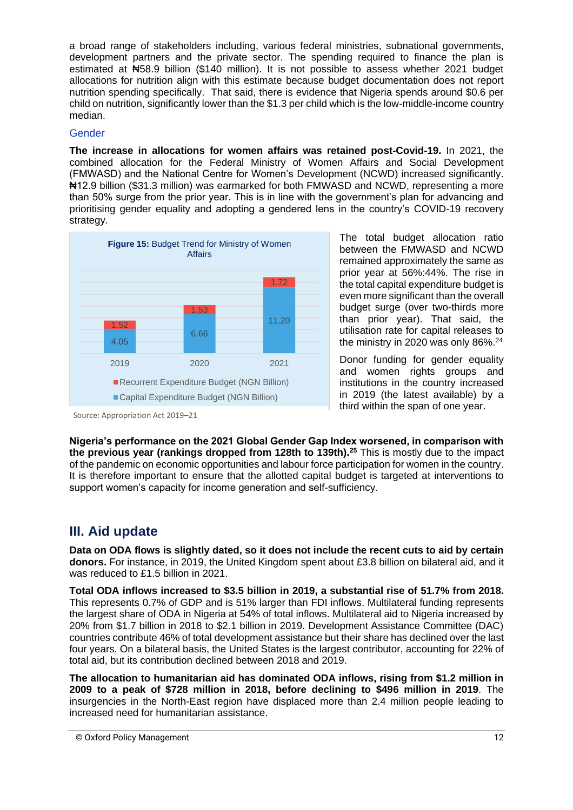a broad range of stakeholders including, various federal ministries, subnational governments, development partners and the private sector. The spending required to finance the plan is estimated at ₦58.9 billion (\$140 million). It is not possible to assess whether 2021 budget allocations for nutrition align with this estimate because budget documentation does not report nutrition spending specifically. That said, there is evidence that Nigeria spends around \$0.6 per child on nutrition, significantly lower than the \$1.3 per child which is the low-middle-income country median.

#### **Gender**

**The increase in allocations for women affairs was retained post-Covid-19.** In 2021, the combined allocation for the Federal Ministry of Women Affairs and Social Development (FMWASD) and the National Centre for Women's Development (NCWD) increased significantly. ₦12.9 billion (\$31.3 million) was earmarked for both FMWASD and NCWD, representing a more than 50% surge from the prior year. This is in line with the government's plan for advancing and prioritising gender equality and adopting a gendered lens in the country's COVID-19 recovery strategy.



The total budget allocation ratio between the FMWASD and NCWD remained approximately the same as prior year at 56%:44%. The rise in the total capital expenditure budget is even more significant than the overall budget surge (over two-thirds more than prior year). That said, the utilisation rate for capital releases to the ministry in 2020 was only 86%. 24

Donor funding for gender equality and women rights groups and institutions in the country increased in 2019 (the latest available) by a third within the span of one year.

Source: Appropriation Act 2019–21

**Nigeria's performance on the 2021 Global Gender Gap Index worsened, in comparison with the previous year (rankings dropped from 128th to 139th).<sup>25</sup>** This is mostly due to the impact of the pandemic on economic opportunities and labour force participation for women in the country. It is therefore important to ensure that the allotted capital budget is targeted at interventions to support women's capacity for income generation and self-sufficiency.

## **III. Aid update**

**Data on ODA flows is slightly dated, so it does not include the recent cuts to aid by certain donors.** For instance, in 2019, the United Kingdom spent about £3.8 billion on bilateral aid, and it was reduced to £1.5 billion in 2021.

**Total ODA inflows increased to \$3.5 billion in 2019, a substantial rise of 51.7% from 2018.** This represents 0.7% of GDP and is 51% larger than FDI inflows. Multilateral funding represents the largest share of ODA in Nigeria at 54% of total inflows. Multilateral aid to Nigeria increased by 20% from \$1.7 billion in 2018 to \$2.1 billion in 2019. Development Assistance Committee (DAC) countries contribute 46% of total development assistance but their share has declined over the last four years. On a bilateral basis, the United States is the largest contributor, accounting for 22% of total aid, but its contribution declined between 2018 and 2019.

**The allocation to humanitarian aid has dominated ODA inflows, rising from \$1.2 million in 2009 to a peak of \$728 million in 2018, before declining to \$496 million in 2019**. The insurgencies in the North-East region have displaced more than 2.4 million people leading to increased need for humanitarian assistance.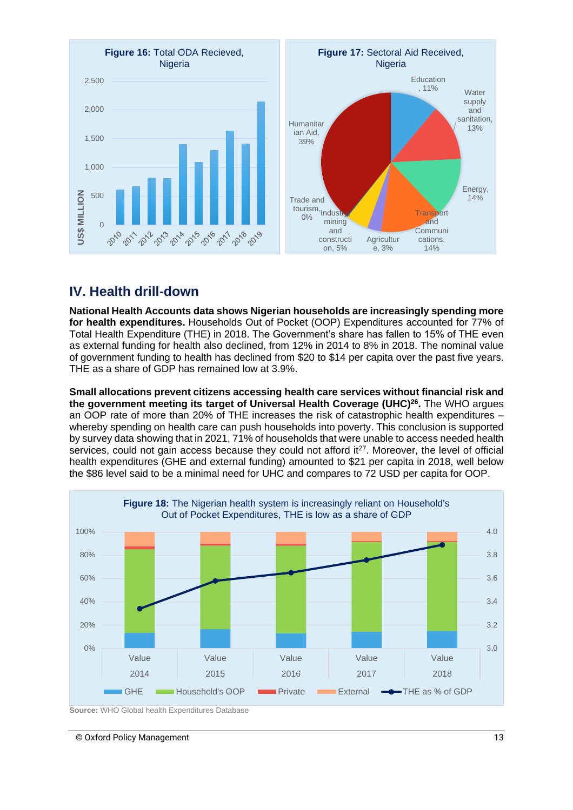

## **IV. Health drill-down**

**National Health Accounts data shows Nigerian households are increasingly spending more for health expenditures.** Households Out of Pocket (OOP) Expenditures accounted for 77% of Total Health Expenditure (THE) in 2018. The Government's share has fallen to 15% of THE even as external funding for health also declined, from 12% in 2014 to 8% in 2018. The nominal value of government funding to health has declined from \$20 to \$14 per capita over the past five years. THE as a share of GDP has remained low at 3.9%.

**Small allocations prevent citizens accessing health care services without financial risk and the government meeting its target of Universal Health Coverage (UHC)<sup>26</sup> .** The WHO argues an OOP rate of more than 20% of THE increases the risk of catastrophic health expenditures – whereby spending on health care can push households into poverty. This conclusion is supported by survey data showing that in 2021, 71% of households that were unable to access needed health services, could not gain access because they could not afford it $27$ . Moreover, the level of official health expenditures (GHE and external funding) amounted to \$21 per capita in 2018, well below the \$86 level said to be a minimal need for UHC and compares to 72 USD per capita for OOP.



**Source:** WHO Global health Expenditures Database

#### © Oxford Policy Management 13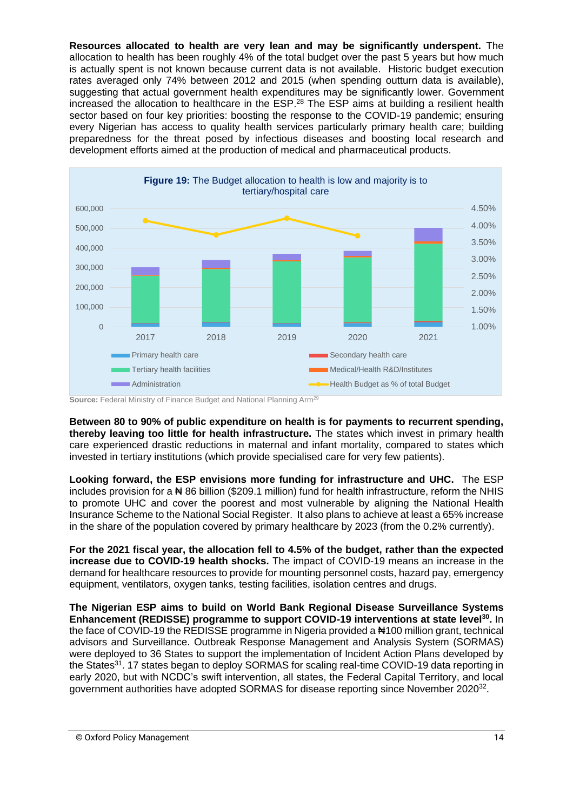**Resources allocated to health are very lean and may be significantly underspent.** The allocation to health has been roughly 4% of the total budget over the past 5 years but how much is actually spent is not known because current data is not available. Historic budget execution rates averaged only 74% between 2012 and 2015 (when spending outturn data is available), suggesting that actual government health expenditures may be significantly lower. Government increased the allocation to healthcare in the ESP. <sup>28</sup> The ESP aims at building a resilient health sector based on four key priorities: boosting the response to the COVID-19 pandemic; ensuring every Nigerian has access to quality health services particularly primary health care; building preparedness for the threat posed by infectious diseases and boosting local research and development efforts aimed at the production of medical and pharmaceutical products.



**Source:** Federal Ministry of Finance Budget and National Planning Arm<sup>29</sup>

**Between 80 to 90% of public expenditure on health is for payments to recurrent spending, thereby leaving too little for health infrastructure.** The states which invest in primary health care experienced drastic reductions in maternal and infant mortality, compared to states which invested in tertiary institutions (which provide specialised care for very few patients).

**Looking forward, the ESP envisions more funding for infrastructure and UHC.** The ESP includes provision for a ₦ 86 billion (\$209.1 million) fund for health infrastructure, reform the NHIS to promote UHC and cover the poorest and most vulnerable by aligning the National Health Insurance Scheme to the National Social Register. It also plans to achieve at least a 65% increase in the share of the population covered by primary healthcare by 2023 (from the 0.2% currently).

**For the 2021 fiscal year, the allocation fell to 4.5% of the budget, rather than the expected increase due to COVID-19 health shocks.** The impact of COVID-19 means an increase in the demand for healthcare resources to provide for mounting personnel costs, hazard pay, emergency equipment, ventilators, oxygen tanks, testing facilities, isolation centres and drugs.

**The Nigerian ESP aims to build on World Bank Regional Disease Surveillance Systems Enhancement (REDISSE) programme to support COVID-19 interventions at state level<sup>30</sup> .** In the face of COVID-19 the REDISSE programme in Nigeria provided a #100 million grant, technical advisors and Surveillance. Outbreak Response Management and Analysis System (SORMAS) were deployed to 36 States to support the implementation of Incident Action Plans developed by the States<sup>31</sup>. 17 states began to deploy SORMAS for scaling real-time COVID-19 data reporting in early 2020, but with NCDC's swift intervention, all states, the Federal Capital Territory, and local government authorities have adopted SORMAS for disease reporting since November 2020<sup>32</sup>.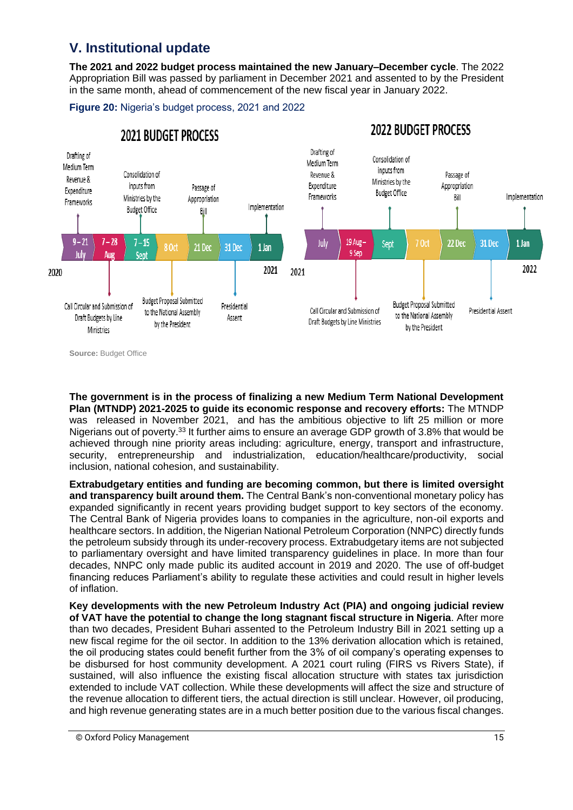# **V. Institutional update**

**The 2021 and 2022 budget process maintained the new January–December cycle**. The 2022 Appropriation Bill was passed by parliament in December 2021 and assented to by the President in the same month, ahead of commencement of the new fiscal year in January 2022.

**Figure 20:** Nigeria's budget process, 2021 and 2022



**Source:** Budget Office

**The government is in the process of finalizing a new Medium Term National Development Plan (MTNDP) 2021-2025 to guide its economic response and recovery efforts:** The MTNDP was released in November 2021, and has the ambitious objective to lift 25 million or more Nigerians out of poverty.<sup>33</sup> It further aims to ensure an average GDP growth of 3.8% that would be achieved through nine priority areas including: agriculture, energy, transport and infrastructure, security, entrepreneurship and industrialization, education/healthcare/productivity, social inclusion, national cohesion, and sustainability.

**Extrabudgetary entities and funding are becoming common, but there is limited oversight and transparency built around them.** The Central Bank's non-conventional monetary policy has expanded significantly in recent years providing budget support to key sectors of the economy. The Central Bank of Nigeria provides loans to companies in the agriculture, non-oil exports and healthcare sectors. In addition, the Nigerian National Petroleum Corporation (NNPC) directly funds the petroleum subsidy through its under-recovery process. Extrabudgetary items are not subjected to parliamentary oversight and have limited transparency guidelines in place. In more than four decades, NNPC only made public its audited account in 2019 and 2020. The use of off-budget financing reduces Parliament's ability to regulate these activities and could result in higher levels of inflation.

**Key developments with the new Petroleum Industry Act (PIA) and ongoing judicial review of VAT have the potential to change the long stagnant fiscal structure in Nigeria**. After more than two decades, President Buhari assented to the Petroleum Industry Bill in 2021 setting up a new fiscal regime for the oil sector. In addition to the 13% derivation allocation which is retained, the oil producing states could benefit further from the 3% of oil company's operating expenses to be disbursed for host community development. A 2021 court ruling (FIRS vs Rivers State), if sustained, will also influence the existing fiscal allocation structure with states tax jurisdiction extended to include VAT collection. While these developments will affect the size and structure of the revenue allocation to different tiers, the actual direction is still unclear. However, oil producing, and high revenue generating states are in a much better position due to the various fiscal changes.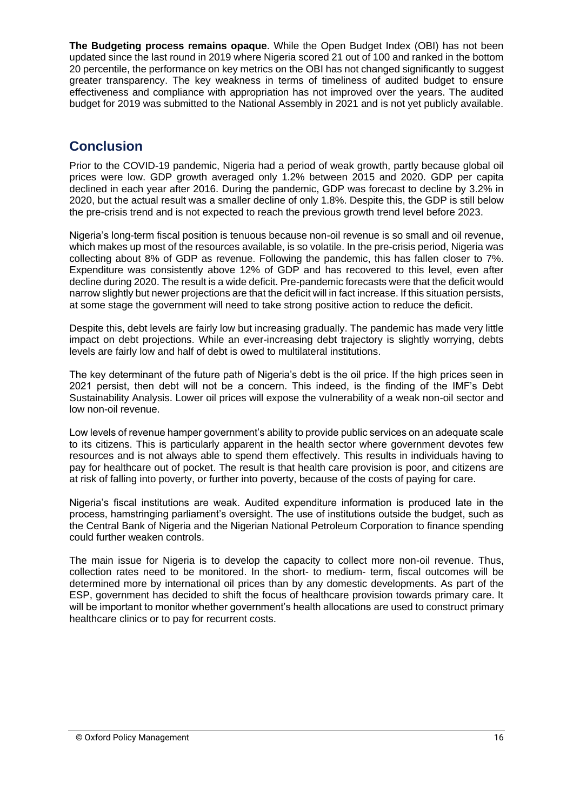**The Budgeting process remains opaque**. While the Open Budget Index (OBI) has not been updated since the last round in 2019 where Nigeria scored 21 out of 100 and ranked in the bottom 20 percentile, the performance on key metrics on the OBI has not changed significantly to suggest greater transparency. The key weakness in terms of timeliness of audited budget to ensure effectiveness and compliance with appropriation has not improved over the years. The audited budget for 2019 was submitted to the National Assembly in 2021 and is not yet publicly available.

# **Conclusion**

Prior to the COVID-19 pandemic, Nigeria had a period of weak growth, partly because global oil prices were low. GDP growth averaged only 1.2% between 2015 and 2020. GDP per capita declined in each year after 2016. During the pandemic, GDP was forecast to decline by 3.2% in 2020, but the actual result was a smaller decline of only 1.8%. Despite this, the GDP is still below the pre-crisis trend and is not expected to reach the previous growth trend level before 2023.

Nigeria's long-term fiscal position is tenuous because non-oil revenue is so small and oil revenue, which makes up most of the resources available, is so volatile. In the pre-crisis period, Nigeria was collecting about 8% of GDP as revenue. Following the pandemic, this has fallen closer to 7%. Expenditure was consistently above 12% of GDP and has recovered to this level, even after decline during 2020. The result is a wide deficit. Pre-pandemic forecasts were that the deficit would narrow slightly but newer projections are that the deficit will in fact increase. If this situation persists, at some stage the government will need to take strong positive action to reduce the deficit.

Despite this, debt levels are fairly low but increasing gradually. The pandemic has made very little impact on debt projections. While an ever-increasing debt trajectory is slightly worrying, debts levels are fairly low and half of debt is owed to multilateral institutions.

The key determinant of the future path of Nigeria's debt is the oil price. If the high prices seen in 2021 persist, then debt will not be a concern. This indeed, is the finding of the IMF's Debt Sustainability Analysis. Lower oil prices will expose the vulnerability of a weak non-oil sector and low non-oil revenue.

Low levels of revenue hamper government's ability to provide public services on an adequate scale to its citizens. This is particularly apparent in the health sector where government devotes few resources and is not always able to spend them effectively. This results in individuals having to pay for healthcare out of pocket. The result is that health care provision is poor, and citizens are at risk of falling into poverty, or further into poverty, because of the costs of paying for care.

Nigeria's fiscal institutions are weak. Audited expenditure information is produced late in the process, hamstringing parliament's oversight. The use of institutions outside the budget, such as the Central Bank of Nigeria and the Nigerian National Petroleum Corporation to finance spending could further weaken controls.

The main issue for Nigeria is to develop the capacity to collect more non-oil revenue. Thus, collection rates need to be monitored. In the short- to medium- term, fiscal outcomes will be determined more by international oil prices than by any domestic developments. As part of the ESP, government has decided to shift the focus of healthcare provision towards primary care. It will be important to monitor whether government's health allocations are used to construct primary healthcare clinics or to pay for recurrent costs.